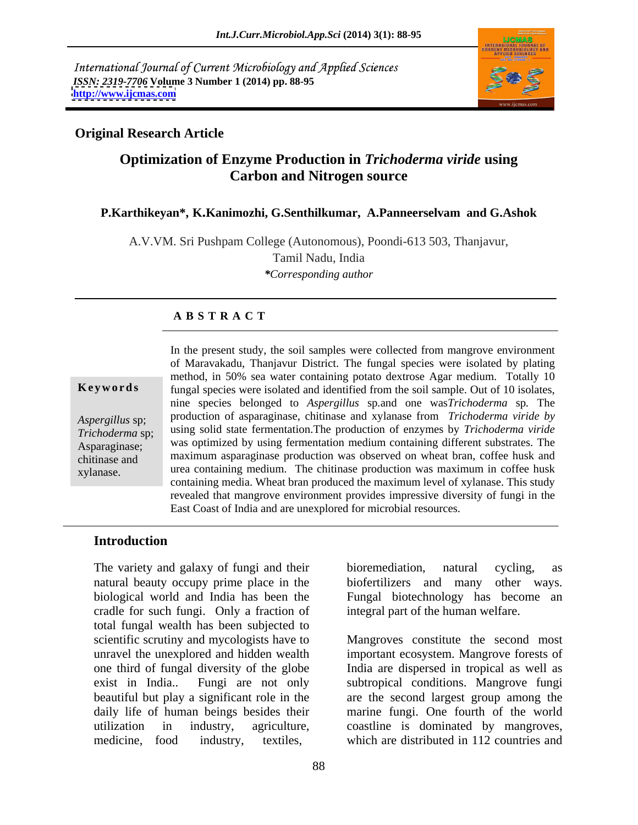International Journal of Current Microbiology and Applied Sciences *ISSN: 2319-7706* **Volume 3 Number 1 (2014) pp. 88-95 <http://www.ijcmas.com>**



### **Original Research Article**

# **Optimization of Enzyme Production in** *Trichoderma viride* **using Carbon and Nitrogen source**

#### **P.Karthikeyan\*, K.Kanimozhi, G.Senthilkumar, A.Panneerselvam and G.Ashok**

A.V.VM. Sri Pushpam College (Autonomous), Poondi-613 503, Thanjavur, Tamil Nadu, India *\*Corresponding author*

#### **A B S T R A C T**

**Keywords** fungal species were isolated and identified from the soil sample. Out of 10 isolates, *Aspergillus* sp; production of asparaginase, chitinase and xylanase from *Trichoderma viride by Trichoderma* sp; using solid state fermentation.The production of enzymes by *Trichoderma viride* Asparaginase; was optimized by using fermentation medium containing different substrates. The chitinase and maximum asparaginase production was observed on wheat bran, coffee husk and xylanase. urea containing medium. The chitinase production was maximum in coffee husk In the present study, the soil samples were collected from mangrove environment of Maravakadu, Thanjavur District. The fungal species were isolated by plating method, in 50% sea water containing potato dextrose Agar medium. Totally 10 nine species belonged to *Aspergillus* sp*.*and one was*Trichoderma* sp*.* The containing media. Wheat bran produced the maximum level of xylanase. This study revealed that mangrove environment provides impressive diversity of fungi in the East Coast of India and are unexplored for microbial resources.

#### **Introduction**

The variety and galaxy of fungi and their bioremediation, natural cycling, as natural beauty occupy prime place in the biofertilizers and many other ways.<br>biological world and India has been the Fungal biotechnology has become an biological world and India has been the Fungal biotechnology has become an cradle for such fungi. Only a fraction of total fungal wealth has been subjected to scientific scrutiny and mycologists have to

bioremediation, natural cycling, as biofertilizers and many other ways. integral part of the human welfare.

unravel the unexplored and hidden wealth important ecosystem.Mangrove forests of one third of fungal diversity of the globe India are dispersed in tropical as well as exist in India.. Fungi are not only subtropical conditions. Mangrove fungi beautiful but play a significant role in the are the second largest group among the daily life of human beings besides their marine fungi. One fourth of the world utilization in industry, agriculture, coastline is dominated by mangroves, medicine, food industry, textiles, which are distributed in 112 countries and Mangroves constitute the second most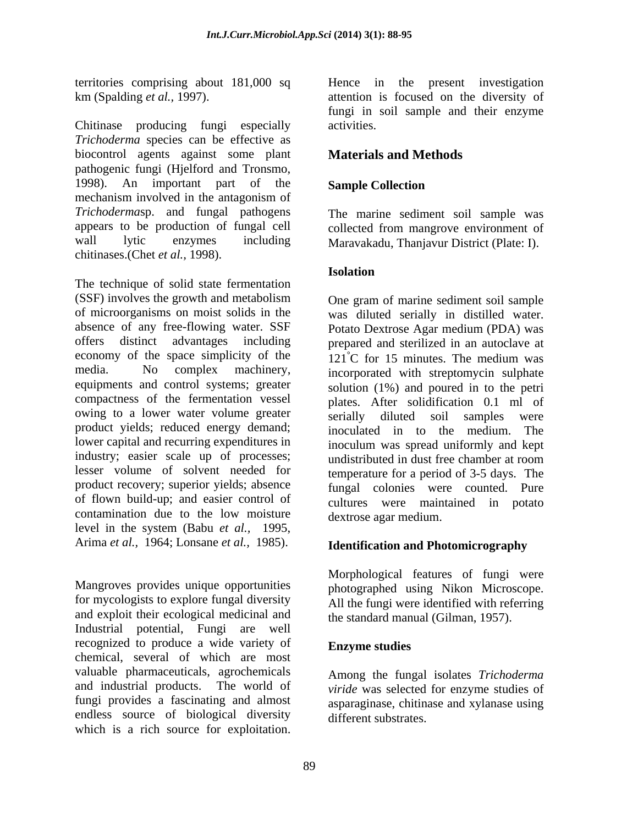territories comprising about 181,000 sq

Chitinase producing fungi especially activities. *Trichoderma* species can be effective as biocontrol agents against some plant pathogenic fungi (Hjelford and Tronsmo, 1998). An important part of the **Sample Collection** mechanism involved in the antagonism of *Trichoderma*sp. and fungal pathogens appears to be production of fungal cell wall lytic enzymes including Maravakadu, Thanjavur District (Plate: I). chitinases.(Chet *et al.,* 1998).

The technique of solid state fermentation (SSF) involves the growth and metabolism of microorganisms on moist solids in the was diluted serially in distilled water. absence of any free-flowing water. SSF Potato Dextrose Agar medium (PDA) was offers distinct advantages including prepared and sterilized in an autoclave at economy of the space simplicity of the media. No complex machinery, incorporated with streptomycin sulphate equipments and control systems; greater solution (1%) and poured in to the petri compactness of the fermentation vessel owing to a lower water volume greater product yields; reduced energy demand; lower capital and recurring expenditures in industry; easier scale up of processes; undistributed in dust free chamber at room lesser volume of solvent needed for product recovery; superior yields; absence of flown build-up; and easier control of contamination due to the low moisture level in the system (Babu *et al.,* 1995, Arima *et al.,* 1964; Lonsane *et al.,* 1985). whiches computer in the constrained in the present investigation.<br>
Chinako my colonically different investigation in the present investigation<br>
Chinako is a rich source of the present investigation. The colonical source

Mangroves provides unique opportunities for mycologists to explore fungal diversity and exploit their ecological medicinal and Industrial potential, Fungi are well recognized to produce a wide variety of chemical, several of which are most valuable pharmaceuticals, agrochemicals and industrial products. The world of fungi provides a fascinating and almost asparaginase, chitinase and xylanase using endless source of biological diversity<br>which is a rich source for exploitation.

km (Spalding *et al.,* 1997). attention is focused on the diversity of fungi in soil sample and their enzyme activities.

# **Materials and Methods**

#### **Sample Collection**

The marine sediment soil sample was collected from mangrove environment of

#### **Isolation**

One gram of marine sediment soil sample Potato Dextrose Agar medium (PDA) was  $121^{\circ}$ C for 15 minutes. The medium was plates. After solidification 0.1 ml of serially diluted soil samples were inoculated in to the medium. The inoculum was spread uniformly and kept undistributed in dust free chamber at room temperature for a period of 3-5 days. The fungal colonies were counted. Pure cultures were maintained in potato dextrose agar medium.

#### **Identification and Photomicrography**

Morphological features of fungi were photographed using Nikon Microscope. All the fungi were identified with referring the standard manual (Gilman, 1957).

#### **Enzyme studies**

Among the fungal isolates *Trichoderma viride* was selected for enzyme studies of different substrates.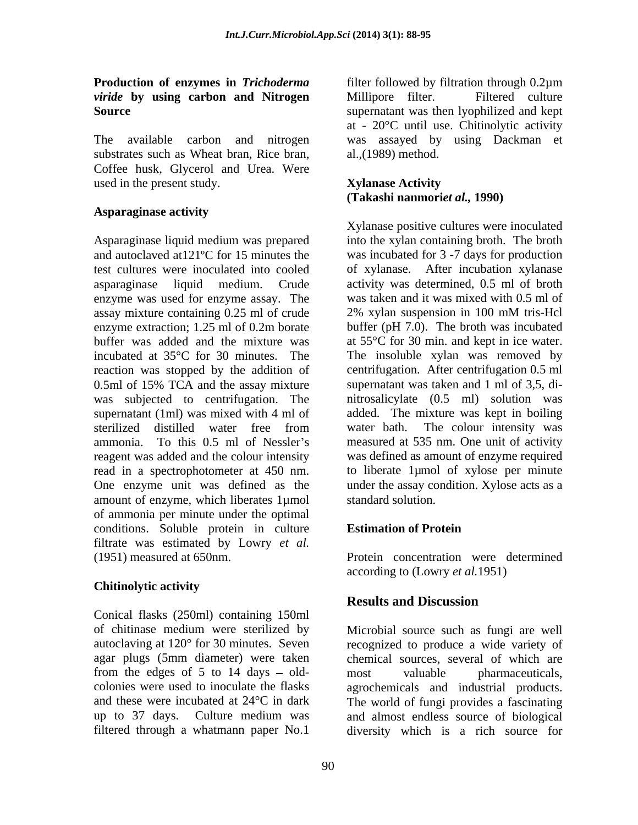# *viride* **by using carbon and Nitrogen**

substrates such as Wheat bran, Rice bran, Coffee husk, Glycerol and Urea. Were used in the present study.

### **Asparaginase activity**

assay mixture containing 0.25 ml of crude 2% xylan suspension in 100 mM tris-Hcl buffer was added and the mixture was reaction was stopped by the addition of 0.5ml of 15% TCA and the assay mixture reagent was added and the colour intensity amount of enzyme, which liberates 1µmol of ammonia per minute under the optimal conditions. Soluble protein in culture Estimation of Protein filtrate was estimated by Lowry *et al.* (1951) measured at 650nm. Protein concentration were determined

# **Chitinolytic activity**

Conical flasks (250ml) containing 150ml from the edges of  $5$  to  $14$  days  $-$  old-<br>most valuable pharmaceuticals. filtered through a whatmann paper No.1

**Production of enzymes in** *Trichoderma* filter followed by filtration through 0.2µm **Source**  supernatant was then lyophilized and kept The available carbon and nitrogen was assayed by using Dackman et Millipore filter. Filtered culture at - 20°C until use. Chitinolytic activity al.,(1989) method.

#### **Xylanase Activity (Takashi nanmori***et al.,* **1990)**

Asparaginase liquid medium was prepared into the xylan containing broth. The broth and autoclaved at121ºC for 15 minutes the was incubated for 3 -7 days for production test cultures were inoculated into cooled of xylanase. After incubation xylanase asparaginase liquid medium. Crude activity was determined, 0.5 ml of broth enzyme was used for enzyme assay. The was taken and it was mixed with 0.5 ml of enzyme extraction; 1.25 ml of 0.2m borate buffer (pH 7.0). The broth was incubated incubated at 35°C for 30 minutes. The The insoluble xylan was removed by was subjected to centrifugation. The nitrosalicylate (0.5 ml) solution was supernatant (1ml) was mixed with 4 ml of added. The mixture was kept in boiling sterilized distilled water free from ammonia. To this 0.5 ml of Nessler's measured at 535 nm. One unit of activity read in a spectrophotometer at 450 nm. to liberate 1µmol of xylose per minute One enzyme unit was defined as the under the assay condition. Xylose acts as a Xylanase positive cultures were inoculated 2% xylan suspension in 100 mM tris-Hcl buffer (pH 7.0). The broth was incubated at 55°C for 30 min. and kept in ice water. centrifugation. After centrifugation 0.5 ml supernatant was taken and 1 ml of 3,5, di water bath. The colour intensity was was defined as amount of enzyme required standard solution.

# **Estimation of Protein**

according to (Lowry *et al.*1951)

# **Results and Discussion**

of chitinase medium were sterilized by Microbial source such as fungi are well autoclaving at 120° for 30 minutes. Seven recognized to produce a wide variety of agar plugs (5mm diameter) were taken chemical sources, several of which are colonies were used to inoculate the flasks agrochemicals and industrial products. and these were incubated at 24°C in dark The world of fungi provides a fascinating up to 37 days. Culture medium was and almost endless source of biological most valuable pharmaceuticals, diversity which is a rich source for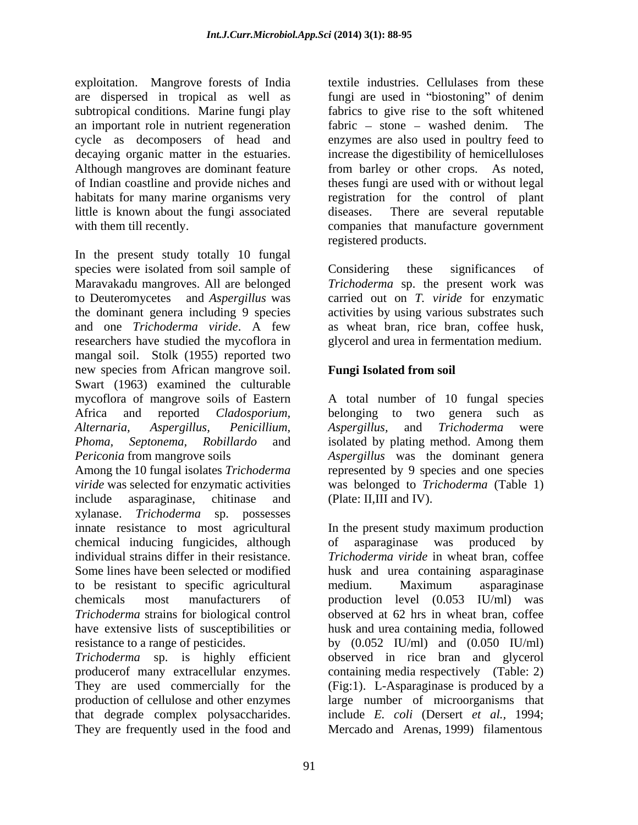exploitation. Mangrove forests of India are dispersed in tropical as well as fungi are used in "biostoning" of denim subtropical conditions. Marine fungi play an important role in nutrient regeneration fabric – stone – washed denim. The little is known about the fungi associated

In the present study totally 10 fungal species were isolated from soil sample of Considering these significances of Maravakadu mangroves. All are belonged *Trichoderma* sp. the present work was to Deuteromycetes and *Aspergillus* was carried out on *T. viride* for enzymatic the dominant genera including 9 species activities by using various substrates such and one *Trichoderma viride*. A few as wheat bran, rice bran, coffee husk, researchers have studied the mycoflora in mangal soil. Stolk (1955) reported two new species from African mangrove soil. Swart (1963) examined the culturable mycoflora of mangrove soils of Eastern A total number of 10 fungal species Africa and reported *Cladosporium,*  belonging to two genera such as *Alternaria, Aspergillus, Penicillium, Aspergillus,* and *Trichoderma* were *Phoma, Septonema, Robillardo* and isolated by plating method. Among them *Periconia* from mangrove soils *Aspergillus* was the dominant genera

Among the 10 fungal isolates *Trichoderma*  represented by 9 species and one species *viride* was selected for enzymatic activities was belonged to *Trichoderma* (Table 1) include asparaginase, chitinase and xylanase. *Trichoderma* sp. possesses innate resistance to most agricultural In the present study maximum production chemical inducing fungicides, although of asparaginase was produced by individual strains differ in their resistance. *Trichoderma viride* in wheat bran, coffee Some lines have been selected or modified husk and urea containing asparaginase to be resistant to specific agricultural chemicals most manufacturers of production level (0.053 IU/ml) was *Trichoderma* strains for biological control have extensive lists of susceptibilities or

*Trichoderma* sp. is highly efficient observed in rice bran and glycerol producerof many extracellular enzymes. containing media respectively (Table: 2) They are used commercially for the (Fig:1). L-Asparaginase is produced by a production of cellulose and other enzymes large number of microorganisms that that degrade complex polysaccharides. They are frequently used in the food and

cycle as decomposers of head and enzymes are also used in poultry feed to decaying organic matter in the estuaries. increase the digestibility of hemicelluloses Although mangroves are dominant feature from barley or other crops. As noted, of Indian coastline and provide niches and theses fungi are used with or without legal habitats for many marine organisms very registration for the control of plant with them till recently. companies that manufacture government textile industries. Cellulases from these fungi are used in "biostoning" of denim fabrics to give rise to the soft whitened fabric  $-$  stone  $-$  washed denim. There are several reputable registered products.

> Considering these significances of glycerol and urea in fermentation medium.

# **Fungi Isolated from soil**

(Plate: II,III and IV).

resistance to a range of pesticides. by  $(0.052 \text{ IU/ml})$  and  $(0.050 \text{ IU/ml})$ asparaginase was produced medium. Maximum asparaginase observed at 62 hrs in wheat bran, coffee husk and urea containing media, followed include *E. coli* (Dersert *et al.,* 1994; Mercado and Arenas, 1999) filamentous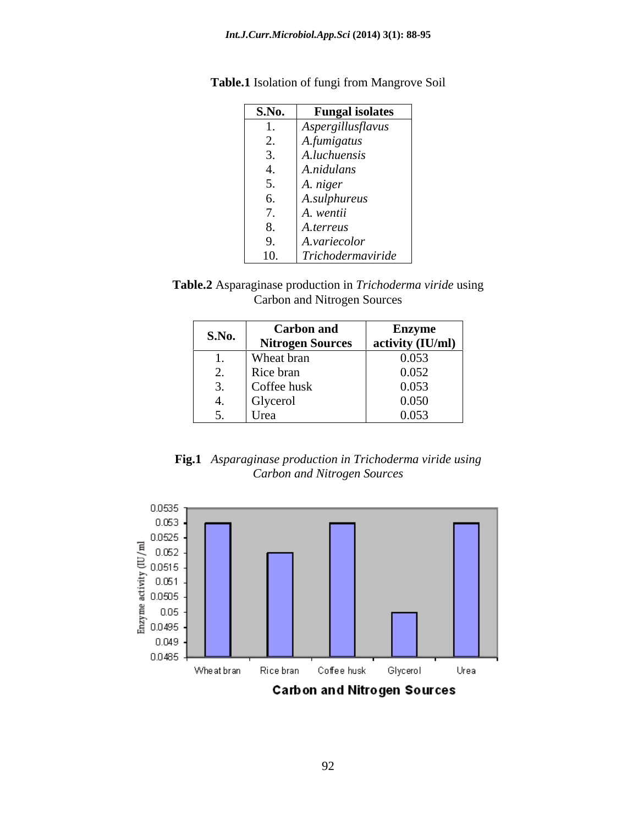| <b>S.No.</b>               | <b>Fungal isolates</b> |
|----------------------------|------------------------|
| $\mathbf{I}$               | Aspergillusflavus      |
| $\bigcap$<br><u>L</u> .    | A.fumigatus            |
| $\sim$<br>$\mathfrak{I}$ . | A.luchuensis           |
| 4.                         | A.nidulans             |
| $\mathcal{L}$ .            | A. niger               |
| 6.                         | A.sulphureus           |
| $\overline{\phantom{a}}$   | A. wentii              |
| 8.                         | A.terreus              |
| 9.                         | A.variecolor           |
| 10.                        | Trichodermaviride      |

**Table.1** Isolation of fungi from Mangrove Soil

| Table.2<br>. Asparaginase production in<br>1 Trichoderma viride using- |  |
|------------------------------------------------------------------------|--|
| Carbon and Nitrogen Sources                                            |  |

| S.No.                      | <b>Carbon and</b>       | <b>Enzyme</b>      |
|----------------------------|-------------------------|--------------------|
|                            | <b>Nitrogen Sources</b> | activity $(IU/ml)$ |
| . .                        | Wheat bran              | 0.053              |
| ∠.                         | Rice bran               | 0.052              |
| J.                         | Coffee husk             | 0.053              |
| ⊶.                         | Glycerol                | 0.050              |
| $\overline{\phantom{a}}$ . | $\sim$ $\sim$<br>Urea   | 0.053              |

**Fig.1** *Asparaginase production in Trichoderma viride using Carbon and Nitrogen Sources*

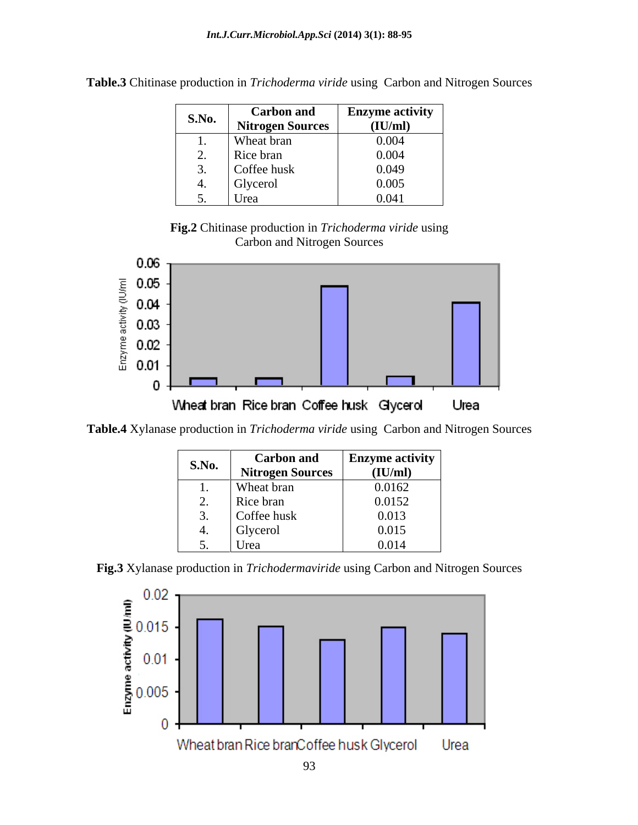| <b>S.No.</b>             | Carbon and              | <b>Enzyme activity</b> |
|--------------------------|-------------------------|------------------------|
|                          | <b>Nitrogen Sources</b> | (IU/ml)                |
| . .                      | Wheat bran              | 0.004                  |
| $\overline{\phantom{a}}$ | Rice bran               | 0.004                  |
| <u>.</u>                 | Coffee husk             | 0.049                  |
|                          | Glycerol                | 0.005                  |
| $\ddotsc$                | Urea                    | 0.041                  |

**Table.3** Chitinase production in *Trichoderma viride* using Carbon and Nitrogen Sources





**Table.4** Xylanase production in *Trichoderma viride* using Carbon and Nitrogen Sources

| <b>S.No.</b> | <b>Carbon and</b>       | <b>Enzyme activity</b> |
|--------------|-------------------------|------------------------|
|              | <b>Nitrogen Sources</b> | (IU/ml)                |
| . .          | Wheat bran              | 0.0162                 |
| <u>.</u>     | Rice bran               | 0.0152                 |
| ، پ          | Coffee husk             | 0.013                  |
|              | Glycerol                | 0.015                  |
| $\ddotsc$    | Urea                    | 0.014                  |



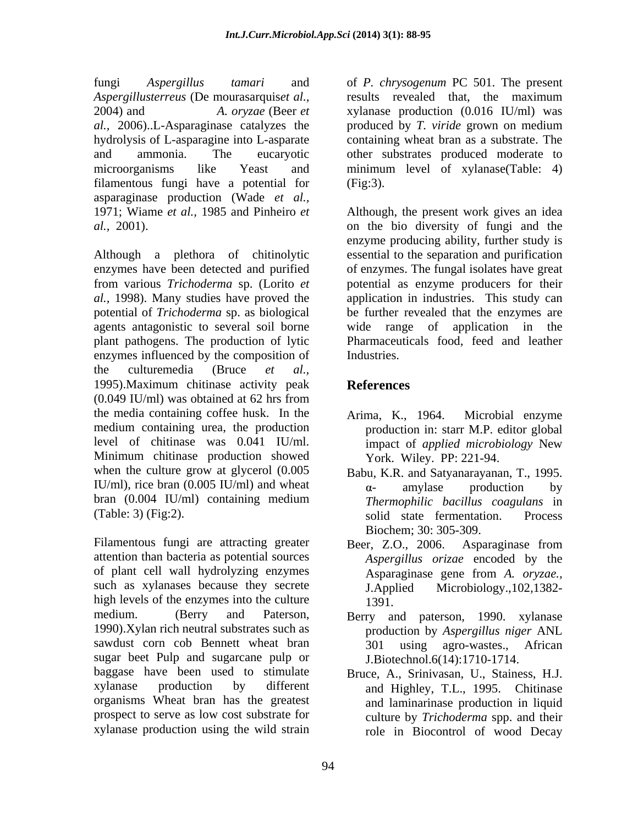fungi *Aspergillus tamari* and of *P. chrysogenum* PC 501. The present *Aspergillusterreus* (De mourasarquis*et al.,* 2004) and *A. oryzae* (Beer *et*  xylanase production (0.016 IU/ml) was *al.,* 2006)..L-Asparaginase catalyzes the hydrolysis of L-asparagine into L-asparate containing wheat bran as a substrate. The and ammonia. The eucaryotic other substrates produced moderate to microorganisms like Yeast and minimum level of xylanase(Table: 4) filamentous fungi have a potential for (Fig.3). asparaginase production (Wade *et al.,* 1971; Wiame *et al.,* 1985 and Pinheiro *et* Although, the present work gives an idea *al.,* 2001). on the bio diversity of fungi and the

Although a plethora of chitinolytic enzymes have been detected and purified of enzymes. The fungal isolates have great from various *Trichoderma* sp. (Lorito *et*  potential as enzyme producers for their *al.,* 1998). Many studies have proved the application in industries. This study can potential of *Trichoderma* sp. as biological be further revealed that the enzymes are agents antagonistic to several soil borne wide range of application in the plant pathogens. The production of lytic enzymes influenced by the composition of the culturemedia (Bruce *et al.,* 1995).Maximum chitinase activity peak (0.049 IU/ml) was obtained at 62 hrs from the media containing coffee husk. In the Arima, K., 1964. Microbial enzyme medium containing urea, the production level of chitinase was  $0.041$  IU/ml. impact of *applied microbiology* New Minimum chitinase production showed when the culture grow at glycerol (0.005 Babu, K.R. and Satyanarayanan, T., 1995. IU/ml), rice bran (0.005 IU/ml) and wheat  $\alpha$ - amylase production by bran (0.004 IU/ml) containing medium Thermophilic bacillus coagulans in

Filamentous fungi are attracting greater Beer, Z.O., 2006. Asparaginase from attention than bacteria as potential sources of plant cell wall hydrolyzing enzymes Asparaginase gene from A. oryzae., such as xylanases because they secrete **I**. Applied high levels of the enzymes into the culture 1391. medium. (Berry and Paterson, Berry and paterson, 1990. xylanase 1990).Xylan rich neutral substrates such as sawdust corn cob Bennett wheat bran 301 using agro-wastes., African sugar beet Pulp and sugarcane pulp or baggase have been used to stimulate xylanase production by different and Highley, T.L., 1995. Chitinase organisms Wheat bran has the greatest prospect to serve as low cost substrate for xylanase production using the wild strain

results revealed that, the maximum produced by *T. viride* grown on medium (Fig:3).

enzyme producing ability, further study is essential to the separation and purification Pharmaceuticals food, feed and leather Industries.

# **References**

- Arima, K., 1964. Microbial enzyme production in: starr M.P. editor global impact of *applied microbiology* New York. Wiley. PP: 221-94.
- (Table: 3) (Fig:2). solid state fermentation. Process - amylase production by *Thermophilic bacillus coagulans* in Biochem; 30: 305-309.
	- Beer, Z.O., 2006. Asparaginase from *Aspergillus orizae* encoded by the Asparaginase gene from *A. oryzae.,* Microbiology.,102,1382-1391.
	- production by *Aspergillus niger* ANL J.Biotechnol.6(14):1710-1714.
	- Bruce, A., Srinivasan, U., Stainess, H.J. and laminarinase production in liquid culture by *Trichoderma* spp. and their role in Biocontrol of wood Decay